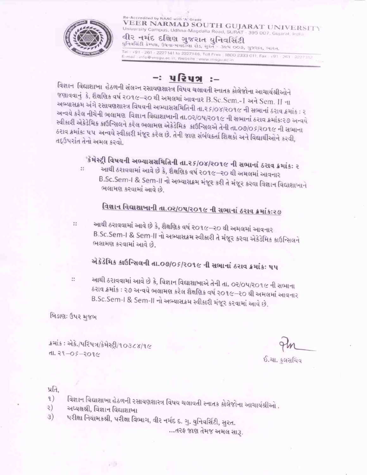

Re-Accredited by NAAC with 'A' Grade VEER NARMAD SOUTH GUJARAT UNIVERSITY University Campus, Udhna-Magdalla Road, SURAT - 395 007, Gujarat, India વીર નર્મદ દક્ષિણ ગુજરાત યુનિવર્સિટી पुनिवसिंटी डेम्पस, ઉधना मगहल्ला शेड, सुरत - उल्प ००७, गुण्डरात, भारत. Tel: +91 - 261 - 2227141 to 2227146, Toll Free: 1800 2333 011, Fax (91 - 261 - 2227 112 E-mail: info@vnsgu.ac.in. Website: www.ynsgu.ac.in

## −ઃ પરિપત્ર

વિજ્ઞાન વિદ્યાશાખા હેઠળની સંલગ્ન રસાયણશાસ્ત્ર વિષય ચલાવતી સ્નાતક કોલેજોના આચાર્યશ્રીઓને જણાવવાનું કે, શૈક્ષણિક વર્ષ ૨૦૧૯–૨૦ થી અમલમાં આવનાર B.Sc.Sem.-1 અને Sem. II ના અભ્યાસક્રમ અંગે રસાયણશાસ્ત્ર વિષયની અભ્યાસસમિતિની તા.૨૬/૦૪/૨૦૧૯ ની સભાનાં ઠરાવ ક્રમાંક : ૨ અન્વયે કરેલ નીચેની ભલામણ વિજ્ઞાન વિદ્યાશાખાની તા.0ર/0૫/૨૦૧૯ ની સભાનાં ઠરાવ ક્રમાંકઃ૨૭ અન્વયે સ્વીકારી એકેડેમિક કાઉન્સિલને કરેલ ભલામણ એકેડેમિક કાઉન્સિલએ તેની તા.09/05/ર01૯ ની સભાના ઠરાવ ક્રમાંકઃ ૫૫ અન્વયે સ્વીકારી મંજૂર કરેલ છે. તેની જાણ સંબંધકર્તા શિક્ષકો અને વિદ્યાર્થીઓને કરવી, તદ્ઉપરાંત તેનો અમલ કરવો.

'કેમેસ્ટ્રી વિષયની અભ્યાસસમિતિની તા.૨૬/૦૪/૨૦૧૯ ની સભાનાં ઠરાવ ક્રમાંકઃ ૨

આથી ઠરાવવામાં આવે છે કે, શૈક્ષણિક વર્ષ ૨૦૧૯–૨૦ થી અમલમાં આવનાર  $\mathcal{C}^{\mathcal{C}}_{\mathcal{C}}$ B.Sc.Sem-I & Sem-II નો અભ્યાસક્રમ મંજૂર કરી તે મંજૂર કરવા વિજ્ઞાન વિદ્યાશાખાને ભલામણ કરવામાં આવે છે.

# વિજ્ઞાન વિદ્યાશાખાની તા.૦૨/૦૫/૨૦૧૯ ની સભાનાં ઠરાવ ક્રમાંકઃ૨૭

22

આથી ઠરાવવામાં આવે છે કે, શૈક્ષણિક વર્ષ ૨૦૧૯–૨૦ થી અમલમાં આવનાર B.Sc.Sem-I & Sem-II નો અભ્યાસક્રમ સ્વીકારી તે મંજૂર કરવા એકેડેમિક કાઉન્સિલને ભલામણ કરવામાં આવે છે.

# એકેડેમિક કાઉન્સિલની તા.૦૭/૦૬/૨૦૧૯ ની સભાનાં ઠરાવ ક્રમાંકઃ ૫૫

આથી ઠરાવવામાં આવે છે કે, વિજ્ઞાન વિદ્યાશાખાએ તેની તા. ૦૨/૦૫/૨૦૧૯ ની સભાના  $\mathbb{N}^*$ ઠરાવ ક્રમાંક : ૨૭ અન્વયે ભલામણ કરેલ શૈક્ષણિક વર્ષ ૨૦૧૯–૨૦ થી અમલમાં આવનાર B.Sc.Sem-I & Sem-II નો અભ્યાસક્રમ સ્વીકારી મંજૂર કરવામાં આવે છે.

બિડાણ: ઉપર મુજબ

ક્રમાંક: એકે./પરિપત્ર/કેમેસ્ટ્રી/૧૦૩૮૪/૧૯  $d1.29 - 05 - 2096$ 

ઈ.ચા. કલસચિવ

#### પ્રતિ.

- વિજ્ઞાન વિદ્યાશાખા હેઠળની રસાયણશાસ્ત્ર વિષય ચલાવતી સ્નાતક કોલેજોના આચાર્યશ્રીઓ .  $\mathcal{L}$
- અધ્યક્ષશ્રી, વિજ્ઞાન વિદ્યાશાખા २)

28

પરીક્ષા નિયામકશ્રી, પરીક્ષા વિભાગ, વીર નર્મદ દ. ગુ. યુનિવર્સિટી, સુરત. 3)

...તરક જાણ તેમજ અમલ સારૂ.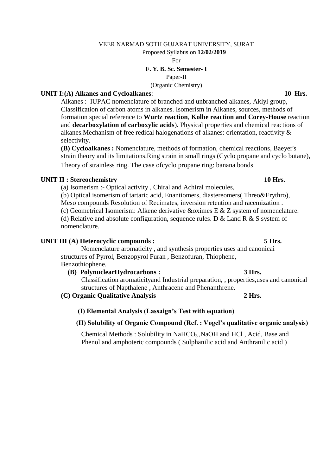#### VEER NARMAD SOTH GUJARAT UNIVERSITY, SURAT

Proposed Syllabus on **12/02/2019**

For

#### **F. Y. B. Sc. Semester- I**

Paper-II

(Organic Chemistry)

#### **UNIT I:(A) Alkanes and Cycloalkanes**: **10 Hrs.**

Alkanes : IUPAC nomenclature of branched and unbranched alkanes, Aklyl group, Classification of carbon atoms in alkanes. Isomerism in Alkanes, sources, methods of formation special reference to **Wurtz reaction**, **Kolbe reaction and Corey-House** reaction and **decarboxylation of carboxylic acids**). Physical properties and chemical reactions of alkanes.Mechanism of free redical halogenations of alkanes: orientation, reactivity & selectivity.

**(B) Cycloalkanes :** Nomenclature, methods of formation, chemical reactions, Baeyer's strain theory and its limitations.Ring strain in small rings (Cyclo propane and cyclo butane), Theory of strainless ring. The case ofcyclo propane ring: banana bonds

#### **UNIT II : Stereochemistry 10 Hrs.**

(a) Isomerism :- Optical activity , Chiral and Achiral molecules,

(b) Optical isomerism of tartaric acid, Enantiomers, diastereomers( Threo&Erythro), Meso compounds Resolution of Recimates, inversion retention and racemization .

(c) Geometrical Isomerism: Alkene derivative &oximes E & Z system of nomenclature.

(d) Relative and absolute configuration, sequence rules. D & Land R & S system of nomenclature.

#### **UNIT III (A) Heterocyclic compounds : 5 Hrs.**

 Nomenclature aromaticity , and synthesis properties uses and canonicai structures of Pyrrol, Benzopyrol Furan , Benzofuran, Thiophene, Benzothiophene.

#### **(B) PolynuclearHydrocarbons : 3 Hrs.**

Classification aromaticityand Industrial preparation, , properties,uses and canonical structures of Napthalene , Anthracene and Phenanthrene.

**(C) Organic Qualitative Analysis 2 Hrs.**

#### **(I) Elemental Analysis (Lassaign's Test with equation)**

#### **(II) Solubility of Organic Compound (Ref. : Vogel's qualitative organic analysis)**

Chemical Methods : Solubility in NaHCO<sub>3</sub>, NaOH and HCl, Acid, Base and Phenol and amphoteric compounds ( Sulphanilic acid and Anthranilic acid )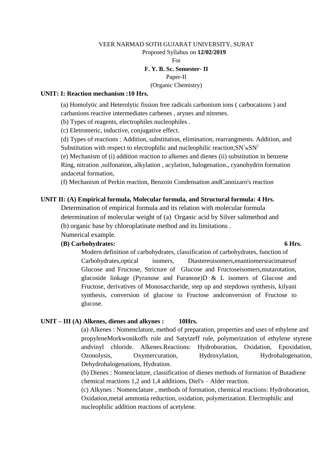#### VEER NARMAD SOTH GUJARAT UNIVERSITY, SURAT Proposed Syllabus on **12/02/2019** For **F. Y. B. Sc. Semester- II** Paper-II (Organic Chemistry)

#### **UNIT: I: Reaction mechanism :10 Hrs.**

(a) Homolytic and Heterolytic fission free radicals carbonium ions ( carbocations ) and carbanions reactive intermediates carbenes , arynes and nitrenes.

(b) Types of reagents, electrophiles nucleophiles .

(c) Eletromeric, inductive, conjugative effect.

(d) Types of reactions : Addition, substitution, elimination, rearrangments. Addition, and Substitution with respect to electrophilic and nucleophilic reaction,  $SN^1$  &  $SN^2$ 

(e) Mechanism of (i) addition reaction to alkenes and dienes (ii) substitution in benzene Ring, nitration ,sulfonation, alkylation , acylation, halogenation., cyanohydrin formation andacetal formation,

(f) Mechanism of Perkin reaction, Benzoin Condensation andCannizaro's reaction

#### **UNIT II: (A) Empirical formula, Molecular formula, and Structural formula: 4 Hrs.**

Determination of empirical formula and its relation with molecular formula determination of molecular weight of (a) Organic acid by Silver saltmethod and (b) organic base by chloroplatinate method and its limitations .

Numerical example.

#### **(B) Carbohydrates: 6 Hrs.**

Modern definition of carbohydrates, classification of carbohydrates, function of Carbohydrates,optical isomers, Diastereoisomers,enantiomersracimatesof Glucose and Fructose, Stricture of Glucose and Fructoseisomers,mutarotation, glucoside linkage (Pyranose and Furanose)D & L isomers of Glucose and Fructose, derivatives of Monosaccharide, step up and stepdown synthesis, kilyani synthesis, conversion of glucose to Fructose andconversion of Fructose to glucose.

#### **UNIT – III (A) Alkenes, dienes and alkynes : 10Hrs.**

(a) Alkenes : Nomenclature, method of preparation, properties and uses of ethylene and propyleneMorkwonikoffs rule and Satytzeff rule, polymerization of ethylene styrene andvinyl chloride. Alkenes.Reactions: Hydroboration, Oxidation, Epoxidation, Ozonolysis, Oxymercuration, Hydroxylation, Hydrohalogenation, Dehydrohalogenations, Hydration.

(b) Dienes : Nomenclature, classification of dienes methods of formation of Butadiene chemical reactions 1,2 and 1,4 additions, Diel's – Alder reaction.

(c) Alkynes : Nomenclature , methods of formation, chemical reactions: Hydroboration, Oxidation,metal ammonia reduction, oxidation, polymerization. Electrophilic and nucleophilic addition reactions of acetylene.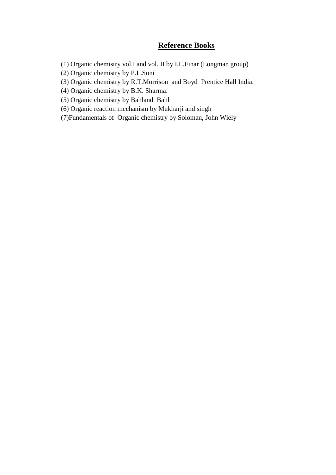## **Reference Books**

(1) Organic chemistry vol.I and vol. II by I.L.Finar (Longman group)

(2) Organic chemistry by P.L.Soni

(3) Organic chemistry by R.T.Morrison and Boyd Prentice Hall India.

(4) Organic chemistry by B.K. Sharma.

(5) Organic chemistry by Bahland Bahl

(6) Organic reaction mechanism by Mukharji and singh

(7)Fundamentals of Organic chemistry by Soloman, John Wiely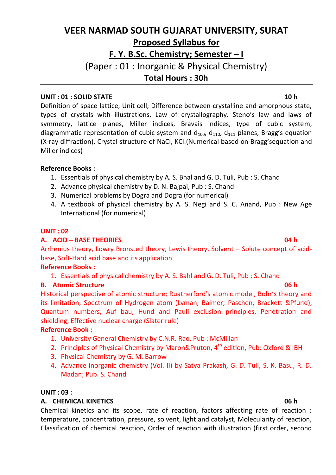# **VEER NARMAD SOUTH GUJARAT UNIVERSITY, SURAT Proposed Syllabus for F. Y. B.Sc. Chemistry; Semester – I** (Paper : 01 : Inorganic & Physical Chemistry) **Total Hours : 30h**

## **UNIT : 01 : SOLID STATE 10 h**

Definition of space lattice, Unit cell, Difference between crystalline and amorphous state, types of crystals with illustrations, Law of crystallography. Steno's law and laws of symmetry, lattice planes, Miller indices, Bravais indices, type of cubic system, diagrammatic representation of cubic system and  $d_{100}$ ,  $d_{110}$ ,  $d_{111}$  planes, Bragg's equation (X-ray diffraction), Crystal structure of NaCl, KCl.(Numerical based on Bragg'sequation and Miller indices)

## **Reference Books :**

- 1. Essentials of physical chemistry by A. S. Bhal and G. D. Tuli, Pub : S. Chand
- 2. Advance physical chemistry by D. N. Bajpai, Pub : S. Chand
- 3. Numerical problems by Dogra and Dogra (for numerical)
- 4. A textbook of physical chemistry by A. S. Negi and S. C. Anand, Pub : New Age International (for numerical)

#### **UNIT : 02**

## **A. ACID – BASE THEORIES 04 h**

Arrhenius theory, Lowry Bronsted theory, Lewis theory, Solvent – Solute concept of acidbase, Soft-Hard acid base and its application.

## **Reference Books :**

1. Essentials of physical chemistry by A. S. Bahl and G. D. Tuli, Pub : S. Chand

## **B.** Atomic Structure 06 **h**

Historical perspective of atomic structure; Ruatherford's atomic model, Bohr's theory and its limitation, Spectrum of Hydrogen atom (Lyman, Balmer, Paschen, Brackett &Pfund), Quantum numbers, Auf bau, Hund and Pauli exclusion principles, Penetration and shielding, Effective nuclear charge (Slater rule)

## **Reference Book :**

- 1. University General Chemistry by C.N.R. Rao, Pub : McMillan
- 2. Principles of Physical Chemistry by Maron&Pruton, 4<sup>th</sup> edition, Pub: Oxford & IBH
- 3. Physical Chemistry by G. M. Barrow
- 4. Advance inorganic chemistry (Vol. II) by Satya Prakash, G. D. Tuli, S. K. Basu, R. D. Madan; Pub. S. Chand

#### **UNIT : 03 :**

## **A. CHEMICAL KINETICS 06 h**

Chemical kinetics and its scope, rate of reaction, factors affecting rate of reaction : temperature, concentration, pressure, solvent, light and catalyst, Molecularity of reaction, Classification of chemical reaction, Order of reaction with illustration (first order, second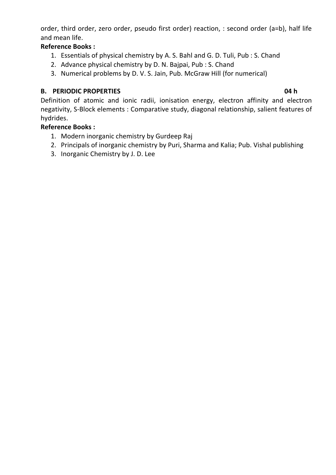order, third order, zero order, pseudo first order) reaction, : second order (a=b), half life and mean life.

## **Reference Books :**

- 1. Essentials of physical chemistry by A. S. Bahl and G. D. Tuli, Pub : S. Chand
- 2. Advance physical chemistry by D. N. Bajpai, Pub : S. Chand
- 3. Numerical problems by D. V. S. Jain, Pub. McGraw Hill (for numerical)

## **B. PERIODIC PROPERTIES 04 h**

Definition of atomic and ionic radii, ionisation energy, electron affinity and electron negativity, S-Block elements : Comparative study, diagonal relationship, salient features of hydrides.

## **Reference Books :**

- 1. Modern inorganic chemistry by Gurdeep Raj
- 2. Principals of inorganic chemistry by Puri, Sharma and Kalia; Pub. Vishal publishing
- 3. Inorganic Chemistry by J. D. Lee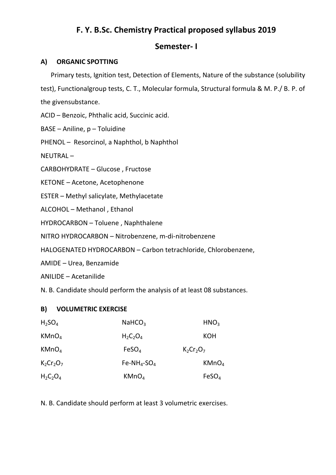## **F. Y. B.Sc. Chemistry Practical proposed syllabus 2019**

## **Semester- I**

#### **A) ORGANIC SPOTTING**

Primary tests, Ignition test, Detection of Elements, Nature of the substance (solubility

test), Functionalgroup tests, C. T., Molecular formula, Structural formula & M. P./ B. P. of the givensubstance.

ACID – Benzoic, Phthalic acid, Succinic acid.

BASE – Aniline, p – Toluidine

PHENOL – Resorcinol, a Naphthol, b Naphthol

NEUTRAL –

CARBOHYDRATE – Glucose , Fructose

KETONE – Acetone, Acetophenone

ESTER – Methyl salicylate, Methylacetate

ALCOHOL – Methanol , Ethanol

HYDROCARBON – Toluene , Naphthalene

NITRO HYDROCARBON – Nitrobenzene, m-di-nitrobenzene

HALOGENATED HYDROCARBON – Carbon tetrachloride, Chlorobenzene,

AMIDE – Urea, Benzamide

ANILIDE – Acetanilide

N. B. Candidate should perform the analysis of at least 08 substances.

## **B) VOLUMETRIC EXERCISE**

| $H_2SO_4$         | NAHCO <sub>3</sub> | HNO <sub>3</sub>  |
|-------------------|--------------------|-------------------|
| KMnO <sub>4</sub> | $H_2C_2O_4$        | <b>KOH</b>        |
| KMnO <sub>4</sub> | FeSO <sub>4</sub>  | $K2Cr2O7$         |
| $K_2Cr_2O_7$      | $Fe-NH_4-SO_4$     | KMnO <sub>4</sub> |
| $H_2C_2O_4$       | KMnO <sub>4</sub>  | FeSO <sub>4</sub> |

N. B. Candidate should perform at least 3 volumetric exercises.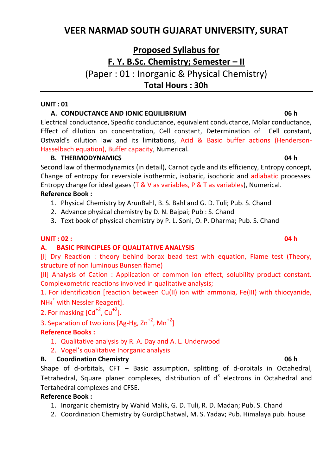## **VEER NARMAD SOUTH GUJARAT UNIVERSITY, SURAT**

# **Proposed Syllabus for F. Y. B.Sc. Chemistry; Semester – II**

(Paper : 01 : Inorganic & Physical Chemistry) **Total Hours : 30h**

#### **UNIT : 01**

#### **A. CONDUCTANCE AND IONIC EQUILIBRIUM 06 h**

Electrical conductance, Specific conductance, equivalent conductance, Molar conductance, Effect of dilution on concentration, Cell constant, Determination of Cell constant, Ostwald's dilution law and its limitations, Acid & Basic buffer actions (Henderson-Hasselbach equation), Buffer capacity, Numerical.

#### **B. THERMODYNAMICS 04 h**

Second law of thermodynamics (in detail), Carnot cycle and its efficiency, Entropy concept, Change of entropy for reversible isothermic, isobaric, isochoric and adiabatic processes. Entropy change for ideal gases (T & V as variables, P & T as variables), Numerical. **Reference Book :**

- 1. Physical Chemistry by ArunBahl, B. S. Bahl and G. D. Tuli; Pub. S. Chand
- 2. Advance physical chemistry by D. N. Bajpai; Pub : S. Chand
- 3. Text book of physical chemistry by P. L. Soni, O. P. Dharma; Pub. S. Chand

## **UNIT : 02 : 04 h**

## **A. BASIC PRINCIPLES OF QUALITATIVE ANALYSIS**

[I] Dry Reaction : theory behind borax bead test with equation, Flame test (Theory, structure of non luminous Bunsen flame)

[II] Analysis of Cation : Application of common ion effect, solubility product constant. Complexometric reactions involved in qualitative analysis;

1. For identification [reaction between Cu(II) ion with ammonia, Fe(III) with thiocyanide, NH<sup>4</sup> + with Nessler Reagent].

2. For masking  $\lceil \text{Cd}^{+2} \rceil$ ,  $\text{Cu}^{+2}$ ].

3. Separation of two ions  $[Ag-Hg, Zn^{+2}, Mn^{+2}]$ 

## **Reference Books :**

- 1. Qualitative analysis by R. A. Day and A. L. Underwood
- 2. Vogel's qualitative Inorganic analysis

## **B. Coordination Chemistry 06 h**

Shape of d-orbitals, CFT – Basic assumption, splitting of d-orbitals in Octahedral, Tetrahedral, Square planer complexes, distribution of  $d^x$  electrons in Octahedral and Tertahedral complexes and CFSE.

## **Reference Book :**

- 1. Inorganic chemistry by Wahid Malik, G. D. Tuli, R. D. Madan; Pub. S. Chand
- 2. Coordination Chemistry by GurdipChatwal, M. S. Yadav; Pub. Himalaya pub. house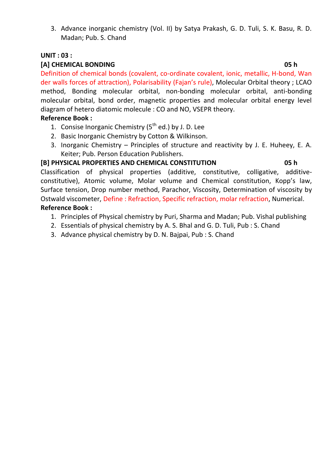3. Advance inorganic chemistry (Vol. II) by Satya Prakash, G. D. Tuli, S. K. Basu, R. D. Madan; Pub. S. Chand

#### **UNIT : 03 :**

#### **[A] CHEMICAL BONDING 05 h**

Definition of chemical bonds (covalent, co-ordinate covalent, ionic, metallic, H-bond, Wan der walls forces of attraction), Polarisability (Fajan's rule), Molecular Orbital theory ; LCAO method, Bonding molecular orbital, non-bonding molecular orbital, anti-bonding molecular orbital, bond order, magnetic properties and molecular orbital energy level diagram of hetero diatomic molecule : CO and NO, VSEPR theory.

#### **Reference Book :**

- 1. Consise Inorganic Chemistry  $(5<sup>th</sup>$  ed.) by J. D. Lee
- 2. Basic Inorganic Chemistry by Cotton & Wilkinson.
- 3. Inorganic Chemistry Principles of structure and reactivity by J. E. Huheey, E. A. Keiter; Pub. Person Education Publishers.

#### **[B] PHYSICAL PROPERTIES AND CHEMICAL CONSTITUTION 05 h**

Classification of physical properties (additive, constitutive, colligative, additiveconstitutive), Atomic volume, Molar volume and Chemical constitution, Kopp's law, Surface tension, Drop number method, Parachor, Viscosity, Determination of viscosity by Ostwald viscometer, Define : Refraction, Specific refraction, molar refraction, Numerical.

## **Reference Book :**

- 1. Principles of Physical chemistry by Puri, Sharma and Madan; Pub. Vishal publishing
- 2. Essentials of physical chemistry by A. S. Bhal and G. D. Tuli, Pub : S. Chand
- 3. Advance physical chemistry by D. N. Bajpai, Pub : S. Chand